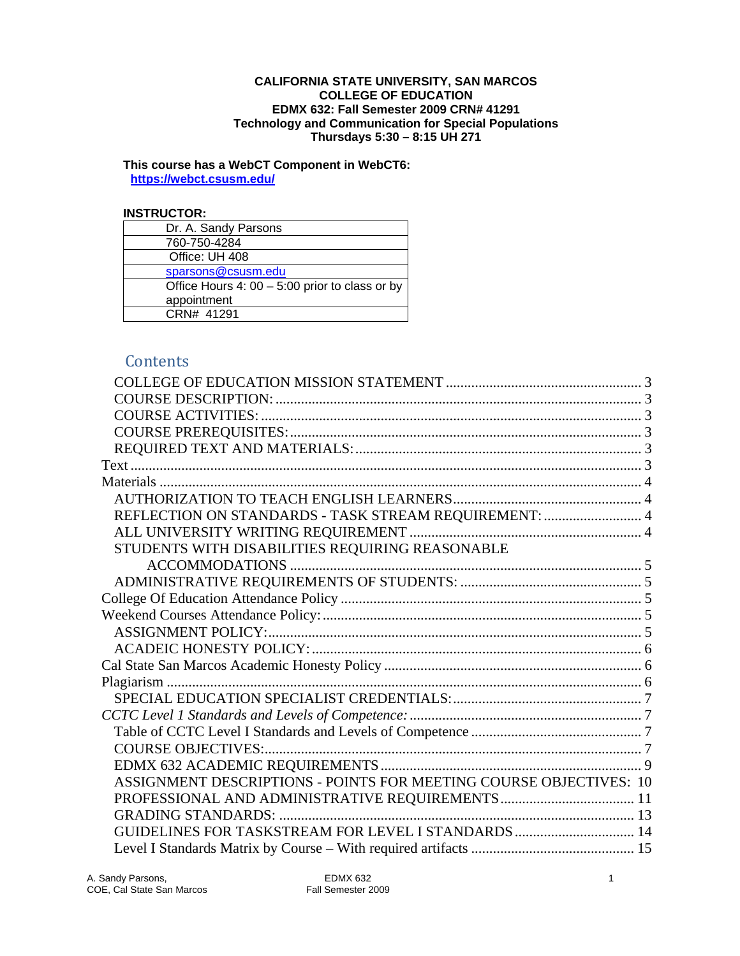#### **CALIFORNIA STATE UNIVERSITY, SAN MARCOS COLLEGE OF EDUCATION EDMX 632: Fall Semester 2009 CRN# 41291 Technology and Communication for Special Populations Thursdays 5:30 – 8:15 UH 271**

 **This course has a WebCT Component in WebCT6: https://webct.csusm.edu/ INSTRUCTOR:** 

### **INSTRUCTOR:**

| Dr. A. Sandy Parsons                             |
|--------------------------------------------------|
| 760-750-4284                                     |
| Office: UH 408                                   |
| sparsons@csusm.edu                               |
| Office Hours 4: $00 - 5:00$ prior to class or by |
| appointment                                      |
| CRN# 41291                                       |

# **Contents**

| REFLECTION ON STANDARDS - TASK STREAM REQUIREMENT:  4              |  |
|--------------------------------------------------------------------|--|
|                                                                    |  |
| STUDENTS WITH DISABILITIES REQUIRING REASONABLE                    |  |
|                                                                    |  |
|                                                                    |  |
|                                                                    |  |
|                                                                    |  |
|                                                                    |  |
|                                                                    |  |
|                                                                    |  |
|                                                                    |  |
|                                                                    |  |
|                                                                    |  |
|                                                                    |  |
|                                                                    |  |
|                                                                    |  |
| ASSIGNMENT DESCRIPTIONS - POINTS FOR MEETING COURSE OBJECTIVES: 10 |  |
|                                                                    |  |
|                                                                    |  |
| GUIDELINES FOR TASKSTREAM FOR LEVEL I STANDARDS  14                |  |
|                                                                    |  |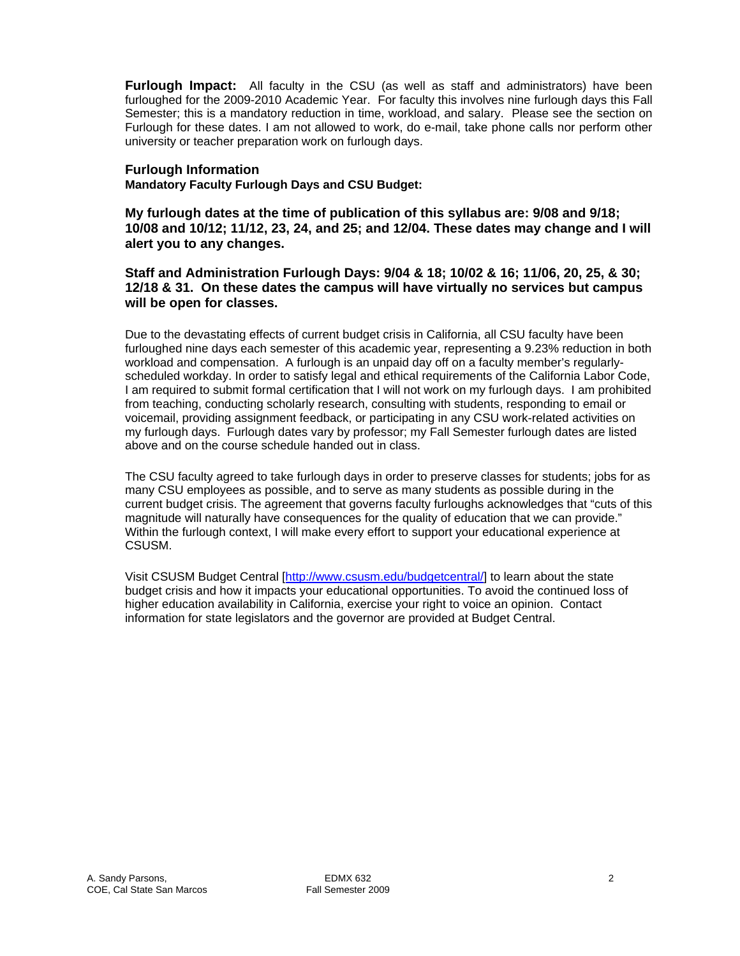Furlough Impact: All faculty in the CSU (as well as staff and administrators) have been furloughed for the 2009-2010 Academic Year. For faculty this involves nine furlough days this Fall Semester; this is a mandatory reduction in time, workload, and salary. Please see the section on Furlough for these dates. I am not allowed to work, do e-mail, take phone calls nor perform other university or teacher preparation work on furlough days.

### **Furlough Information**

**Mandatory Faculty Furlough Days and CSU Budget:** 

**My furlough dates at the time of publication of this syllabus are: 9/08 and 9/18; 10/08 and 10/12; 11/12, 23, 24, and 25; and 12/04. These dates may change and I will alert you to any changes.** 

# **Staff and Administration Furlough Days: 9/04 & 18; 10/02 & 16; 11/06, 20, 25, & 30; 12/18 & 31. On these dates the campus will have virtually no services but campus will be open for classes.**

Due to the devastating effects of current budget crisis in California, all CSU faculty have been furloughed nine days each semester of this academic year, representing a 9.23% reduction in both workload and compensation. A furlough is an unpaid day off on a faculty member's regularlyscheduled workday. In order to satisfy legal and ethical requirements of the California Labor Code, I am required to submit formal certification that I will not work on my furlough days. I am prohibited from teaching, conducting scholarly research, consulting with students, responding to email or voicemail, providing assignment feedback, or participating in any CSU work-related activities on my furlough days. Furlough dates vary by professor; my Fall Semester furlough dates are listed above and on the course schedule handed out in class.

The CSU faculty agreed to take furlough days in order to preserve classes for students; jobs for as many CSU employees as possible, and to serve as many students as possible during in the current budget crisis. The agreement that governs faculty furloughs acknowledges that "cuts of this magnitude will naturally have consequences for the quality of education that we can provide." Within the furlough context, I will make every effort to support your educational experience at CSUSM.

Visit CSUSM Budget Central [http://www.csusm.edu/budgetcentral/] to learn about the state budget crisis and how it impacts your educational opportunities. To avoid the continued loss of higher education availability in California, exercise your right to voice an opinion. Contact information for state legislators and the governor are provided at Budget Central.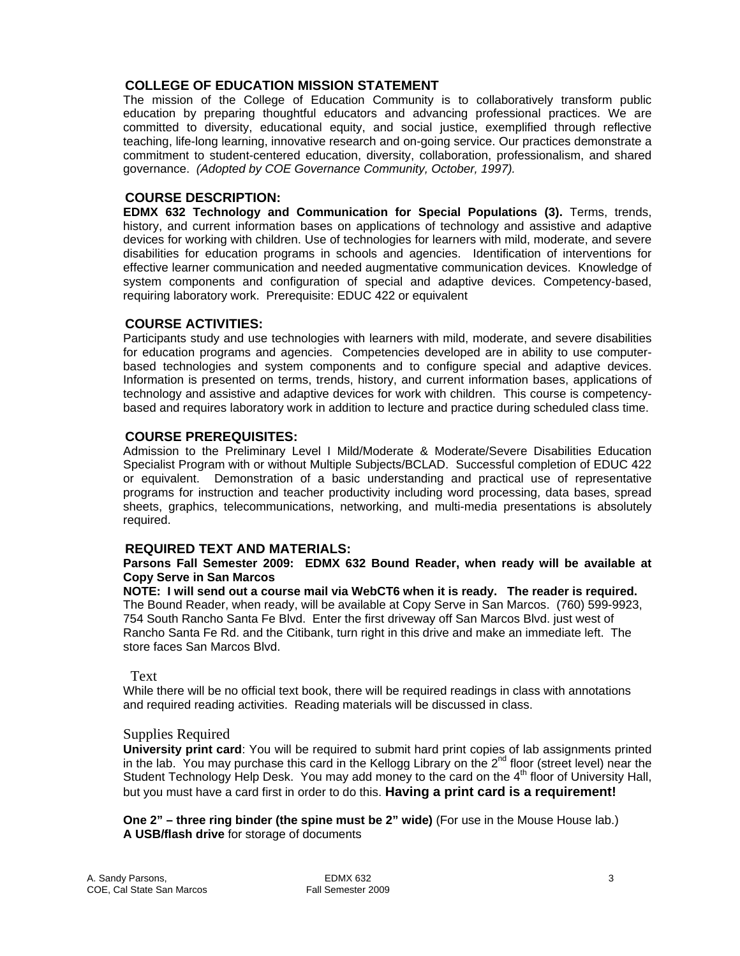# **COLLEGE OF EDUCATION MISSION STATEMENT**

The mission of the College of Education Community is to collaboratively transform public education by preparing thoughtful educators and advancing professional practices. We are committed to diversity, educational equity, and social justice, exemplified through reflective teaching, life-long learning, innovative research and on-going service. Our practices demonstrate a commitment to student-centered education, diversity, collaboration, professionalism, and shared governance. *(Adopted by COE Governance Community, October, 1997).*

### **COURSE DESCRIPTION:**

**EDMX 632 Technology and Communication for Special Populations (3).** Terms, trends, history, and current information bases on applications of technology and assistive and adaptive devices for working with children. Use of technologies for learners with mild, moderate, and severe disabilities for education programs in schools and agencies. Identification of interventions for effective learner communication and needed augmentative communication devices. Knowledge of system components and configuration of special and adaptive devices. Competency-based, requiring laboratory work. Prerequisite: EDUC 422 or equivalent

### **COURSE ACTIVITIES:**

 based technologies and system components and to configure special and adaptive devices. Participants study and use technologies with learners with mild, moderate, and severe disabilities for education programs and agencies. Competencies developed are in ability to use computer-Information is presented on terms, trends, history, and current information bases, applications of technology and assistive and adaptive devices for work with children. This course is competencybased and requires laboratory work in addition to lecture and practice during scheduled class time.

### **COURSE PREREQUISITES:**

Admission to the Preliminary Level I Mild/Moderate & Moderate/Severe Disabilities Education Specialist Program with or without Multiple Subjects/BCLAD. Successful completion of EDUC 422 or equivalent. Demonstration of a basic understanding and practical use of representative programs for instruction and teacher productivity including word processing, data bases, spread sheets, graphics, telecommunications, networking, and multi-media presentations is absolutely required.

#### **REQUIRED TEXT AND MATERIALS:**

#### **Parsons Fall Semester 2009: EDMX 632 Bound Reader, when ready will be available at Copy Serve in San Marcos**

 **NOTE: I will send out a course mail via WebCT6 when it is ready. The reader is required.**  The Bound Reader, when ready, will be available at Copy Serve in San Marcos. (760) 599-9923, 754 South Rancho Santa Fe Blvd. Enter the first driveway off San Marcos Blvd. just west of Rancho Santa Fe Rd. and the Citibank, turn right in this drive and make an immediate left. The store faces San Marcos Blvd.

#### Text

While there will be no official text book, there will be required readings in class with annotations and required reading activities. Reading materials will be discussed in class.

### Supplies Required

**University print card**: You will be required to submit hard print copies of lab assignments printed in the lab. You may purchase this card in the Kellogg Library on the  $2^{nd}$  floor (street level) near the Student Technology Help Desk. You may add money to the card on the 4<sup>th</sup> floor of University Hall, but you must have a card first in order to do this. **Having a print card is a requirement!** 

**One 2" – three ring binder (the spine must be 2" wide)** (For use in the Mouse House lab.) **A USB/flash drive** for storage of documents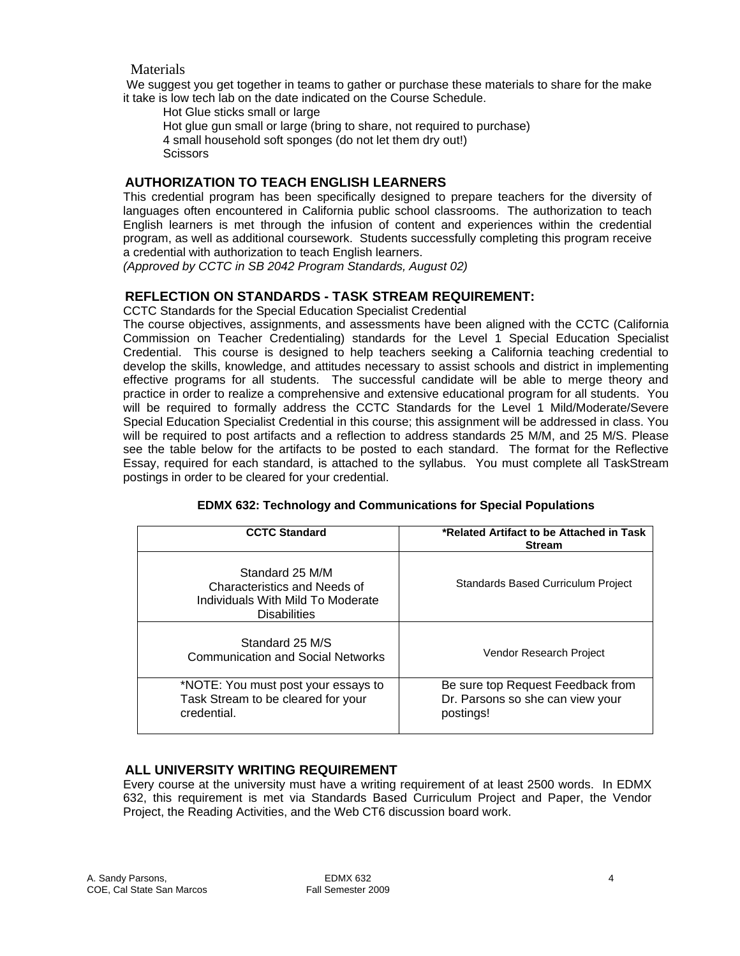# Materials

We suggest you get together in teams to gather or purchase these materials to share for the make it take is low tech lab on the date indicated on the Course Schedule.

Hot Glue sticks small or large Hot glue gun small or large (bring to share, not required to purchase) 4 small household soft sponges (do not let them dry out!) **Scissors** 

# **AUTHORIZATION TO TEACH ENGLISH LEARNERS**

This credential program has been specifically designed to prepare teachers for the diversity of languages often encountered in California public school classrooms. The authorization to teach English learners is met through the infusion of content and experiences within the credential program, as well as additional coursework. Students successfully completing this program receive a credential with authorization to teach English learners.

*(Approved by CCTC in SB 2042 Program Standards, August 02)* 

# **REFLECTION ON STANDARDS - TASK STREAM REQUIREMENT:**

CCTC Standards for the Special Education Specialist Credential

The course objectives, assignments, and assessments have been aligned with the CCTC (California Commission on Teacher Credentialing) standards for the Level 1 Special Education Specialist Credential. This course is designed to help teachers seeking a California teaching credential to develop the skills, knowledge, and attitudes necessary to assist schools and district in implementing effective programs for all students. The successful candidate will be able to merge theory and practice in order to realize a comprehensive and extensive educational program for all students. You will be required to formally address the CCTC Standards for the Level 1 Mild/Moderate/Severe Special Education Specialist Credential in this course; this assignment will be addressed in class. You will be required to post artifacts and a reflection to address standards 25 M/M, and 25 M/S. Please see the table below for the artifacts to be posted to each standard. The format for the Reflective Essay, required for each standard, is attached to the syllabus. You must complete all TaskStream postings in order to be cleared for your credential.

| <b>CCTC Standard</b>                                                                                        | *Related Artifact to be Attached in Task<br><b>Stream</b>                          |  |  |  |
|-------------------------------------------------------------------------------------------------------------|------------------------------------------------------------------------------------|--|--|--|
| Standard 25 M/M<br>Characteristics and Needs of<br>Individuals With Mild To Moderate<br><b>Disabilities</b> | <b>Standards Based Curriculum Project</b>                                          |  |  |  |
| Standard 25 M/S<br><b>Communication and Social Networks</b>                                                 | Vendor Research Project                                                            |  |  |  |
| *NOTE: You must post your essays to<br>Task Stream to be cleared for your<br>credential.                    | Be sure top Request Feedback from<br>Dr. Parsons so she can view your<br>postings! |  |  |  |

### **EDMX 632: Technology and Communications for Special Populations**

# **ALL UNIVERSITY WRITING REQUIREMENT**

Every course at the university must have a writing requirement of at least 2500 words. In EDMX 632, this requirement is met via Standards Based Curriculum Project and Paper, the Vendor Project, the Reading Activities, and the Web CT6 discussion board work.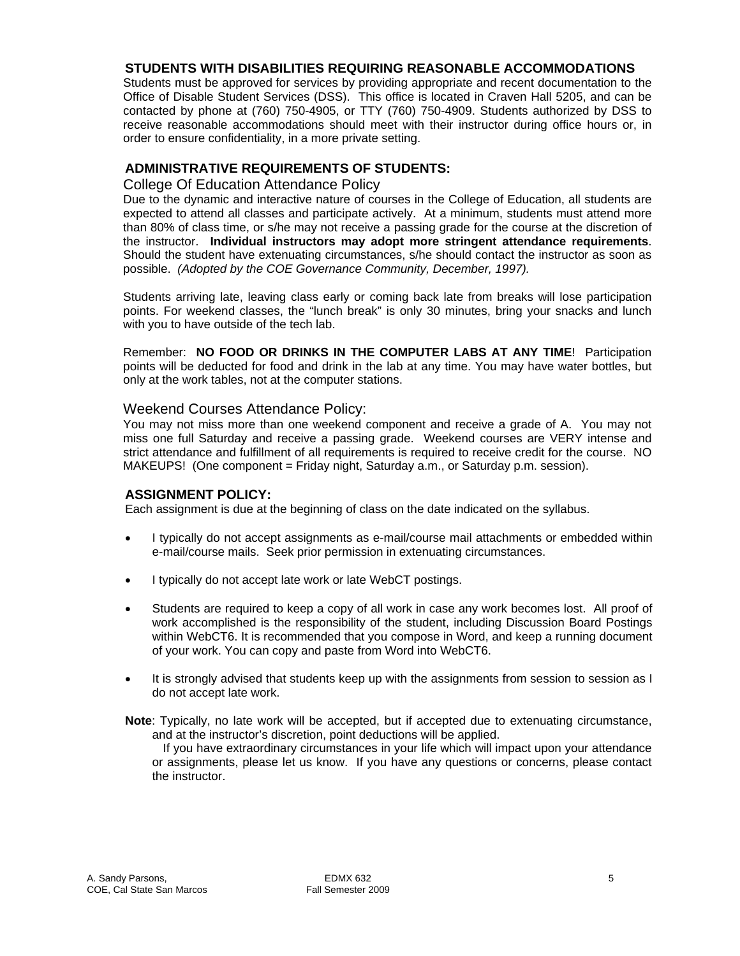# **STUDENTS WITH DISABILITIES REQUIRING REASONABLE ACCOMMODATIONS**

Students must be approved for services by providing appropriate and recent documentation to the Office of Disable Student Services (DSS). This office is located in Craven Hall 5205, and can be contacted by phone at (760) 750-4905, or TTY (760) 750-4909. Students authorized by DSS to receive reasonable accommodations should meet with their instructor during office hours or, in order to ensure confidentiality, in a more private setting.

# **ADMINISTRATIVE REQUIREMENTS OF STUDENTS:**

### College Of Education Attendance Policy

 Should the student have extenuating circumstances, s/he should contact the instructor as soon as possible. *(Adopted by the COE Governance Community, December, 1997).* Due to the dynamic and interactive nature of courses in the College of Education, all students are expected to attend all classes and participate actively. At a minimum, students must attend more than 80% of class time, or s/he may not receive a passing grade for the course at the discretion of the instructor. **Individual instructors may adopt more stringent attendance requirements**.

Students arriving late, leaving class early or coming back late from breaks will lose participation points. For weekend classes, the "lunch break" is only 30 minutes, bring your snacks and lunch with you to have outside of the tech lab.

Remember: **NO FOOD OR DRINKS IN THE COMPUTER LABS AT ANY TIME**! Participation points will be deducted for food and drink in the lab at any time. You may have water bottles, but only at the work tables, not at the computer stations.

### Weekend Courses Attendance Policy:

You may not miss more than one weekend component and receive a grade of A. You may not miss one full Saturday and receive a passing grade. Weekend courses are VERY intense and strict attendance and fulfillment of all requirements is required to receive credit for the course. NO MAKEUPS! (One component = Friday night, Saturday a.m., or Saturday p.m. session).

#### **ASSIGNMENT POLICY:**

Each assignment is due at the beginning of class on the date indicated on the syllabus.

- I typically do not accept assignments as e-mail/course mail attachments or embedded within e-mail/course mails. Seek prior permission in extenuating circumstances.
- I typically do not accept late work or late WebCT postings.
- Students are required to keep a copy of all work in case any work becomes lost. All proof of work accomplished is the responsibility of the student, including Discussion Board Postings within WebCT6. It is recommended that you compose in Word, and keep a running document of your work. You can copy and paste from Word into WebCT6.
- It is strongly advised that students keep up with the assignments from session to session as I do not accept late work.
- **Note**: Typically, no late work will be accepted, but if accepted due to extenuating circumstance, and at the instructor's discretion, point deductions will be applied.

If you have extraordinary circumstances in your life which will impact upon your attendance or assignments, please let us know. If you have any questions or concerns, please contact the instructor.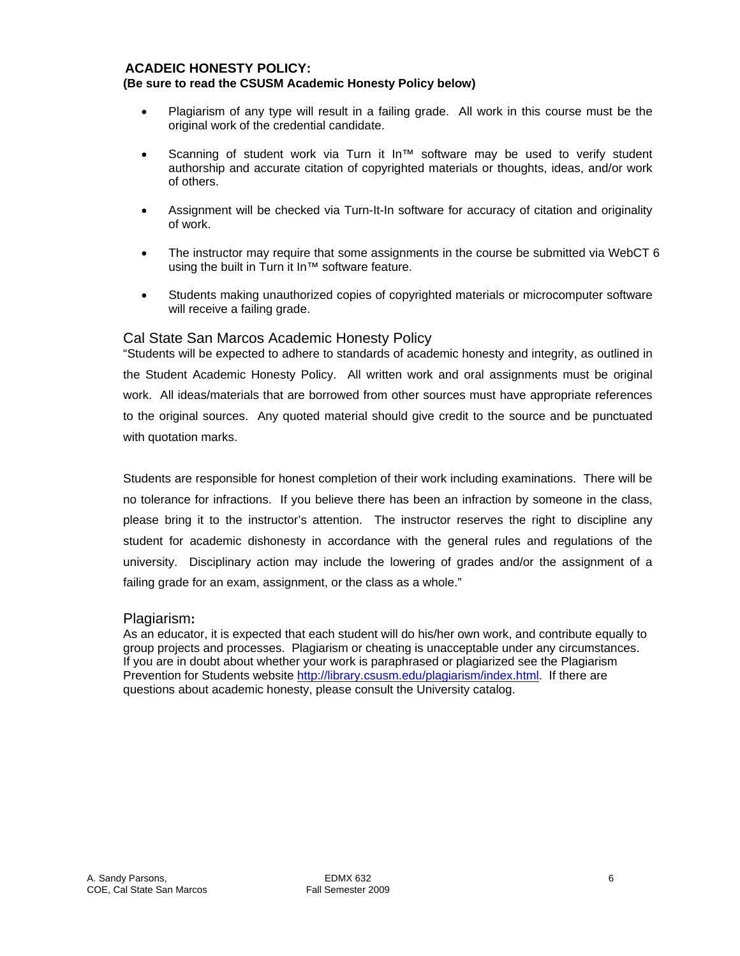#### **ACADEIC HONESTY POLICY: (Be sure to read the CSUSM Academic Honesty Policy below)**

- • Plagiarism of any type will result in a failing grade. All work in this course must be the original work of the credential candidate.
- Scanning of student work via Turn it In™ software may be used to verify student authorship and accurate citation of copyrighted materials or thoughts, ideas, and/or work of others.
- Assignment will be checked via Turn-It-In software for accuracy of citation and originality of work.
- The instructor may require that some assignments in the course be submitted via WebCT 6 using the built in Turn it In™ software feature.
- Students making unauthorized copies of copyrighted materials or microcomputer software will receive a failing grade.

### Cal State San Marcos Academic Honesty Policy

"Students will be expected to adhere to standards of academic honesty and integrity, as outlined in the Student Academic Honesty Policy. All written work and oral assignments must be original work. All ideas/materials that are borrowed from other sources must have appropriate references to the original sources. Any quoted material should give credit to the source and be punctuated with quotation marks.

Students are responsible for honest completion of their work including examinations. There will be no tolerance for infractions. If you believe there has been an infraction by someone in the class, please bring it to the instructor's attention. The instructor reserves the right to discipline any student for academic dishonesty in accordance with the general rules and regulations of the university. Disciplinary action may include the lowering of grades and/or the assignment of a failing grade for an exam, assignment, or the class as a whole."

### Plagiarism**:**

As an educator, it is expected that each student will do his/her own work, and contribute equally to group projects and processes. Plagiarism or cheating is unacceptable under any circumstances. If you are in doubt about whether your work is paraphrased or plagiarized see the Plagiarism Prevention for Students website http://library.csusm.edu/plagiarism/index.html. If there are questions about academic honesty, please consult the University catalog.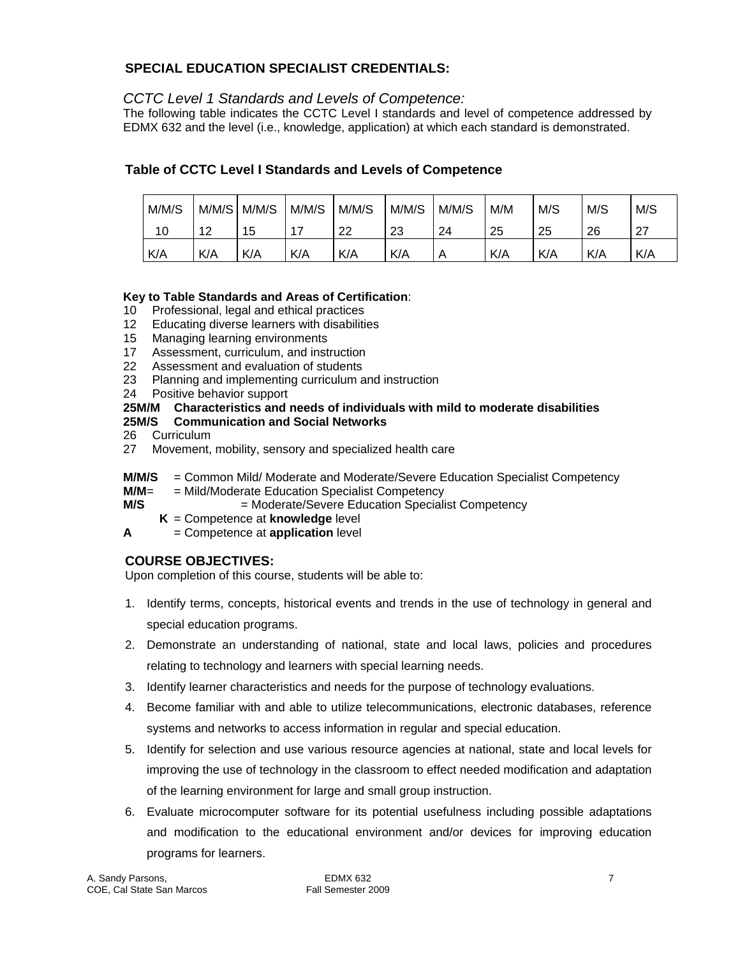# **SPECIAL EDUCATION SPECIALIST CREDENTIALS:**

# *CCTC Level 1 Standards and Levels of Competence:*

The following table indicates the CCTC Level I standards and level of competence addressed by EDMX 632 and the level (i.e., knowledge, application) at which each standard is demonstrated.

# **Table of CCTC Level I Standards and Levels of Competence**

| M/M/S | M/M/SI | M/M/S | M/M/S | M/M/S | M/M/S | M/M/S | M/M | M/S | M/S | M/S       |
|-------|--------|-------|-------|-------|-------|-------|-----|-----|-----|-----------|
| 10    | 12     | 5     | 17    | 22    | 23    | 24    | 25  | 25  | 26  | דר<br>ا ے |
| K/A   | K/A    | K/A   | K/A   | K/A   | K/A   | Α     | K/A | K/A | K/A | K/A       |

# **Key to Table Standards and Areas of Certification**:

- 10 Professional, legal and ethical practices
- 12 Educating diverse learners with disabilities
- 15 Managing learning environments
- 17 Assessment, curriculum, and instruction
- 22 Assessment and evaluation of students
- 23 Planning and implementing curriculum and instruction
- 24 Positive behavior support

# **25M/M Characteristics and needs of individuals with mild to moderate disabilities**

# **25M/S Communication and Social Networks**

- 26 Curriculum
- 27 Movement, mobility, sensory and specialized health care
- **M/M/S** = Common Mild/ Moderate and Moderate/Severe Education Specialist Competency
- **M/M**= = Mild/Moderate Education Specialist Competency
- **M/S**  $=$  Moderate/Severe Education Specialist Competency
	- **K** = Competence at **knowledge** level
- **A** = Competence at **application** level

# **COURSE OBJECTIVES:**

Upon completion of this course, students will be able to:

- 1. Identify terms, concepts, historical events and trends in the use of technology in general and special education programs.
- 2. Demonstrate an understanding of national, state and local laws, policies and procedures relating to technology and learners with special learning needs.
- 3. Identify learner characteristics and needs for the purpose of technology evaluations.
- 4. Become familiar with and able to utilize telecommunications, electronic databases, reference systems and networks to access information in regular and special education.
- 5. Identify for selection and use various resource agencies at national, state and local levels for improving the use of technology in the classroom to effect needed modification and adaptation of the learning environment for large and small group instruction.
- 6. Evaluate microcomputer software for its potential usefulness including possible adaptations and modification to the educational environment and/or devices for improving education programs for learners.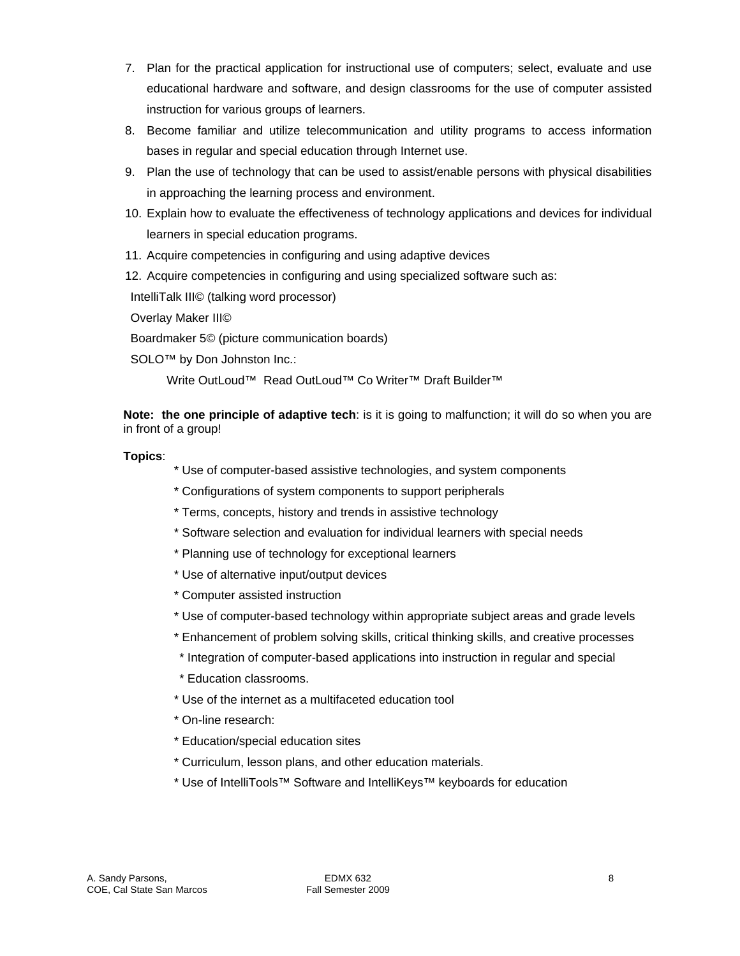- 7. Plan for the practical application for instructional use of computers; select, evaluate and use educational hardware and software, and design classrooms for the use of computer assisted instruction for various groups of learners.
- 8. Become familiar and utilize telecommunication and utility programs to access information bases in regular and special education through Internet use.
- 9. Plan the use of technology that can be used to assist/enable persons with physical disabilities in approaching the learning process and environment.
- 10. Explain how to evaluate the effectiveness of technology applications and devices for individual learners in special education programs.
- 11. Acquire competencies in configuring and using adaptive devices
- 12. Acquire competencies in configuring and using specialized software such as:

IntelliTalk III© (talking word processor)

Overlay Maker III©

Boardmaker 5© (picture communication boards)

SOLO<sup>™</sup> by Don Johnston Inc.:

Write OutLoud™ Read OutLoud™ Co Writer™ Draft Builder™

**Note: the one principle of adaptive tech**: is it is going to malfunction; it will do so when you are in front of a group!

### **Topics**:

- \* Use of computer-based assistive technologies, and system components
- \* Configurations of system components to support peripherals
- \* Terms, concepts, history and trends in assistive technology
- \* Software selection and evaluation for individual learners with special needs
- \* Planning use of technology for exceptional learners
- \* Use of alternative input/output devices
- \* Computer assisted instruction
- \* Use of computer-based technology within appropriate subject areas and grade levels
- \* Enhancement of problem solving skills, critical thinking skills, and creative processes
- \* Integration of computer-based applications into instruction in regular and special
- \* Education classrooms.
- \* Use of the internet as a multifaceted education tool
- \* On-line research:
- \* Education/special education sites
- \* Curriculum, lesson plans, and other education materials.
- \* Use of IntelliTools™ Software and IntelliKeys™ keyboards for education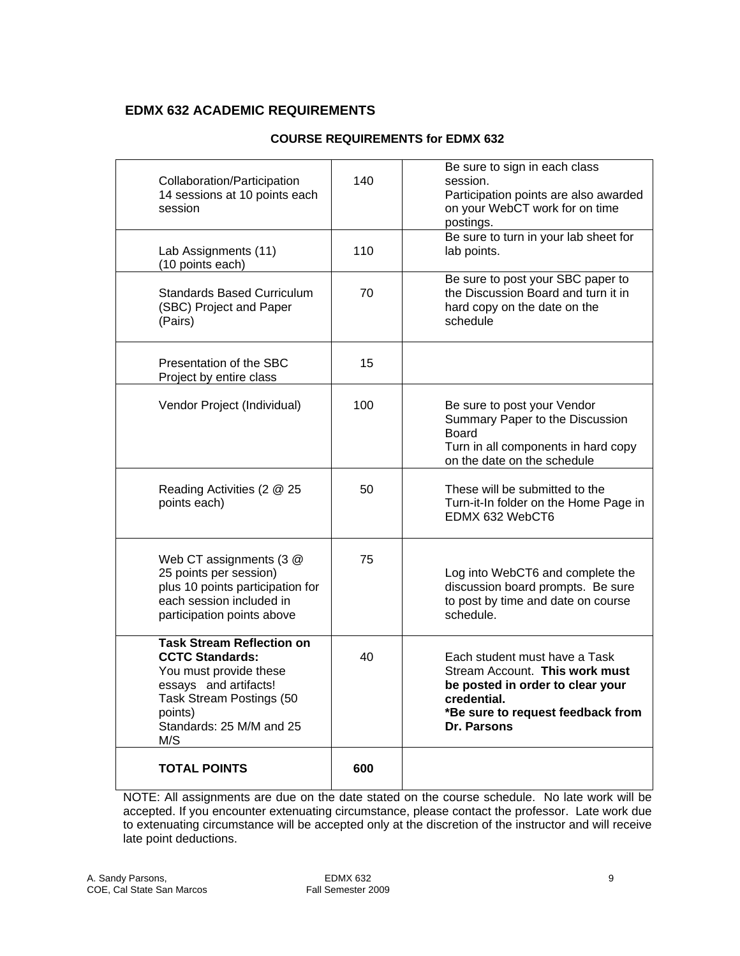# **EDMX 632 ACADEMIC REQUIREMENTS**

| Collaboration/Participation<br>14 sessions at 10 points each<br>session                                                                                                                 | 140 | Be sure to sign in each class<br>session.<br>Participation points are also awarded<br>on your WebCT work for on time<br>postings.                                      |
|-----------------------------------------------------------------------------------------------------------------------------------------------------------------------------------------|-----|------------------------------------------------------------------------------------------------------------------------------------------------------------------------|
| Lab Assignments (11)<br>(10 points each)                                                                                                                                                | 110 | Be sure to turn in your lab sheet for<br>lab points.                                                                                                                   |
| <b>Standards Based Curriculum</b><br>(SBC) Project and Paper<br>(Pairs)                                                                                                                 | 70  | Be sure to post your SBC paper to<br>the Discussion Board and turn it in<br>hard copy on the date on the<br>schedule                                                   |
| Presentation of the SBC<br>Project by entire class                                                                                                                                      | 15  |                                                                                                                                                                        |
| Vendor Project (Individual)                                                                                                                                                             | 100 | Be sure to post your Vendor<br>Summary Paper to the Discussion<br><b>Board</b><br>Turn in all components in hard copy<br>on the date on the schedule                   |
| Reading Activities (2 @ 25<br>points each)                                                                                                                                              | 50  | These will be submitted to the<br>Turn-it-In folder on the Home Page in<br>EDMX 632 WebCT6                                                                             |
| Web CT assignments (3 @<br>25 points per session)<br>plus 10 points participation for<br>each session included in<br>participation points above                                         | 75  | Log into WebCT6 and complete the<br>discussion board prompts. Be sure<br>to post by time and date on course<br>schedule.                                               |
| <b>Task Stream Reflection on</b><br><b>CCTC Standards:</b><br>You must provide these<br>essays and artifacts!<br>Task Stream Postings (50<br>points)<br>Standards: 25 M/M and 25<br>M/S | 40  | Each student must have a Task<br>Stream Account. This work must<br>be posted in order to clear your<br>credential.<br>*Be sure to request feedback from<br>Dr. Parsons |
| <b>TOTAL POINTS</b>                                                                                                                                                                     | 600 |                                                                                                                                                                        |

# **COURSE REQUIREMENTS for EDMX 632**

NOTE: All assignments are due on the date stated on the course schedule. No late work will be accepted. If you encounter extenuating circumstance, please contact the professor. Late work due to extenuating circumstance will be accepted only at the discretion of the instructor and will receive late point deductions.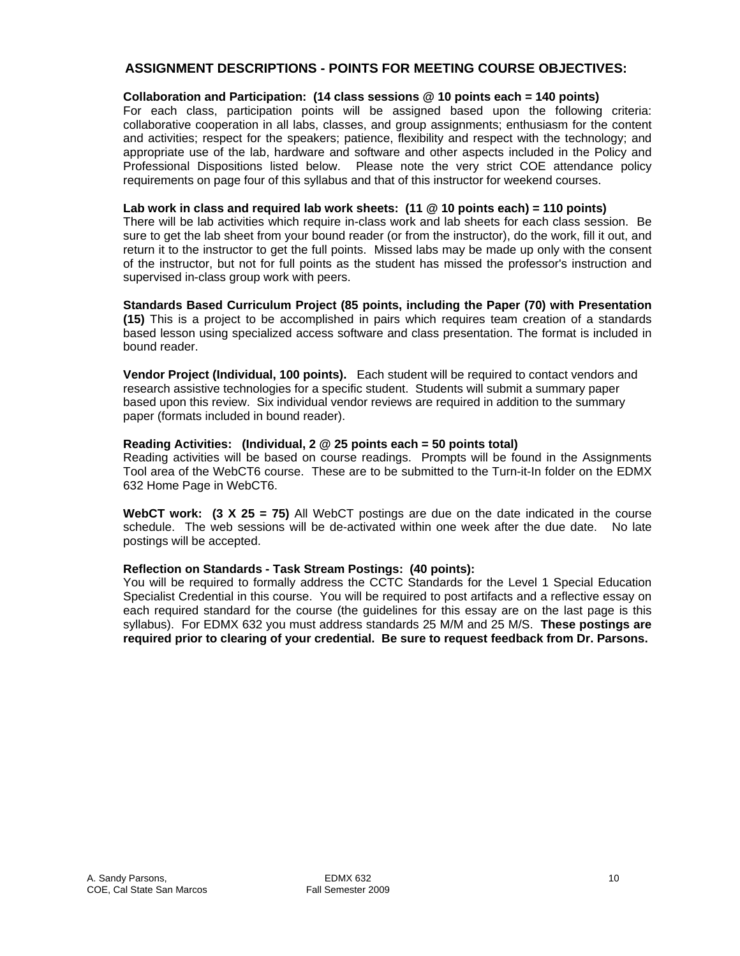# **ASSIGNMENT DESCRIPTIONS - POINTS FOR MEETING COURSE OBJECTIVES:**

#### **Collaboration and Participation: (14 class sessions @ 10 points each = 140 points)**

For each class, participation points will be assigned based upon the following criteria: collaborative cooperation in all labs, classes, and group assignments; enthusiasm for the content and activities; respect for the speakers; patience, flexibility and respect with the technology; and appropriate use of the lab, hardware and software and other aspects included in the Policy and Professional Dispositions listed below. Please note the very strict COE attendance policy requirements on page four of this syllabus and that of this instructor for weekend courses.

#### **Lab work in class and required lab work sheets: (11 @ 10 points each) = 110 points)**

There will be lab activities which require in-class work and lab sheets for each class session. Be sure to get the lab sheet from your bound reader (or from the instructor), do the work, fill it out, and return it to the instructor to get the full points. Missed labs may be made up only with the consent of the instructor, but not for full points as the student has missed the professor's instruction and supervised in-class group work with peers.

**Standards Based Curriculum Project (85 points, including the Paper (70) with Presentation (15)** This is a project to be accomplished in pairs which requires team creation of a standards based lesson using specialized access software and class presentation. The format is included in bound reader.

**Vendor Project (Individual, 100 points).** Each student will be required to contact vendors and research assistive technologies for a specific student. Students will submit a summary paper based upon this review. Six individual vendor reviews are required in addition to the summary paper (formats included in bound reader).

### **Reading Activities: (Individual, 2 @ 25 points each = 50 points total)**

Reading activities will be based on course readings. Prompts will be found in the Assignments Tool area of the WebCT6 course. These are to be submitted to the Turn-it-In folder on the EDMX 632 Home Page in WebCT6.

 **WebCT work: (3 X 25 = 75)** All WebCT postings are due on the date indicated in the course schedule. The web sessions will be de-activated within one week after the due date. No late postings will be accepted.

#### **Reflection on Standards - Task Stream Postings: (40 points):**

You will be required to formally address the CCTC Standards for the Level 1 Special Education Specialist Credential in this course. You will be required to post artifacts and a reflective essay on each required standard for the course (the guidelines for this essay are on the last page is this syllabus). For EDMX 632 you must address standards 25 M/M and 25 M/S. **These postings are required prior to clearing of your credential. Be sure to request feedback from Dr. Parsons.**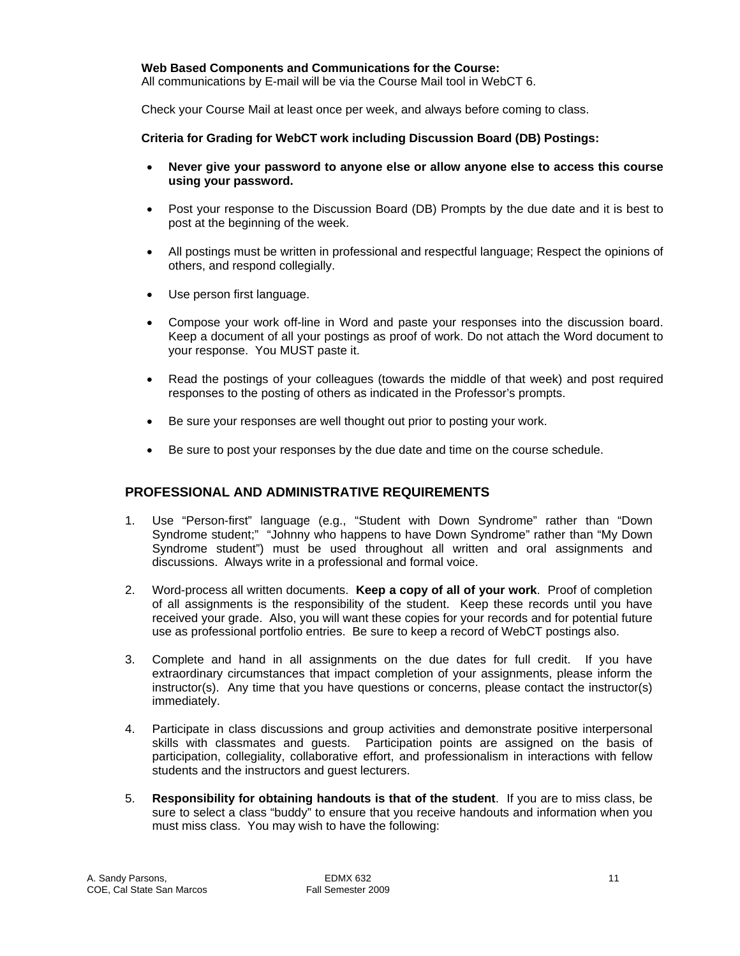#### **Web Based Components and Communications for the Course:**

All communications by E-mail will be via the Course Mail tool in WebCT 6.

Check your Course Mail at least once per week, and always before coming to class.

#### **Criteria for Grading for WebCT work including Discussion Board (DB) Postings:**

- Never give your password to anyone else or allow anyone else to access this course **using your password.**
- Post your response to the Discussion Board (DB) Prompts by the due date and it is best to post at the beginning of the week.
- All postings must be written in professional and respectful language; Respect the opinions of others, and respond collegially.
- Use person first language.
- Compose your work off-line in Word and paste your responses into the discussion board. Keep a document of all your postings as proof of work. Do not attach the Word document to your response. You MUST paste it.
- Read the postings of your colleagues (towards the middle of that week) and post required responses to the posting of others as indicated in the Professor's prompts.
- Be sure your responses are well thought out prior to posting your work.
- Be sure to post your responses by the due date and time on the course schedule.

### **PROFESSIONAL AND ADMINISTRATIVE REQUIREMENTS**

- 1. Use "Person-first" language (e.g., "Student with Down Syndrome" rather than "Down Syndrome student;" "Johnny who happens to have Down Syndrome" rather than "My Down Syndrome student") must be used throughout all written and oral assignments and discussions. Always write in a professional and formal voice.
- 2. Word-process all written documents. **Keep a copy of all of your work**. Proof of completion of all assignments is the responsibility of the student. Keep these records until you have received your grade. Also, you will want these copies for your records and for potential future use as professional portfolio entries. Be sure to keep a record of WebCT postings also.
- 3. Complete and hand in all assignments on the due dates for full credit. If you have extraordinary circumstances that impact completion of your assignments, please inform the instructor(s). Any time that you have questions or concerns, please contact the instructor(s) immediately.
- skills with classmates and guests. Participation points are assigned on the basis of 4. Participate in class discussions and group activities and demonstrate positive interpersonal participation, collegiality, collaborative effort, and professionalism in interactions with fellow students and the instructors and guest lecturers.
- 5. **Responsibility for obtaining handouts is that of the student**. If you are to miss class, be sure to select a class "buddy" to ensure that you receive handouts and information when you must miss class. You may wish to have the following: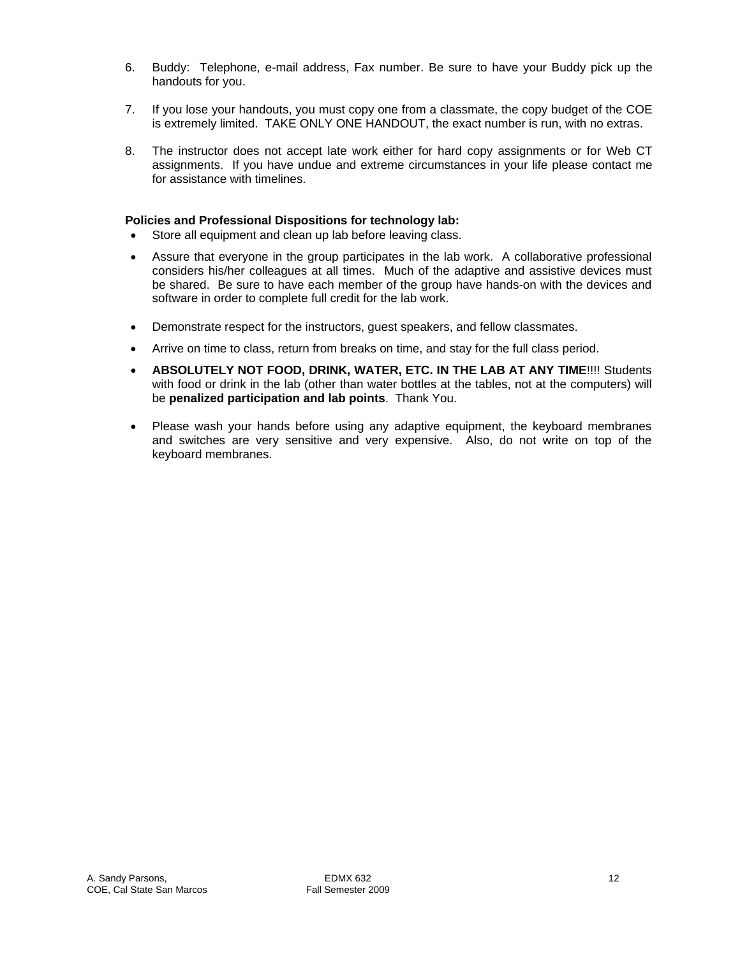- 6. Buddy: Telephone, e-mail address, Fax number. Be sure to have your Buddy pick up the handouts for you.
- 7. If you lose your handouts, you must copy one from a classmate, the copy budget of the COE is extremely limited. TAKE ONLY ONE HANDOUT, the exact number is run, with no extras.
- 8. The instructor does not accept late work either for hard copy assignments or for Web CT assignments. If you have undue and extreme circumstances in your life please contact me for assistance with timelines.

#### **Policies and Professional Dispositions for technology lab:**

- Store all equipment and clean up lab before leaving class.
- Assure that everyone in the group participates in the lab work. A collaborative professional considers his/her colleagues at all times. Much of the adaptive and assistive devices must be shared. Be sure to have each member of the group have hands-on with the devices and software in order to complete full credit for the lab work.
- Demonstrate respect for the instructors, quest speakers, and fellow classmates.
- Arrive on time to class, return from breaks on time, and stay for the full class period.
- **ABSOLUTELY NOT FOOD, DRINK, WATER, ETC. IN THE LAB AT ANY TIME!!!! Students** with food or drink in the lab (other than water bottles at the tables, not at the computers) will be **penalized participation and lab points**. Thank You.
- Please wash your hands before using any adaptive equipment, the keyboard membranes and switches are very sensitive and very expensive. Also, do not write on top of the keyboard membranes.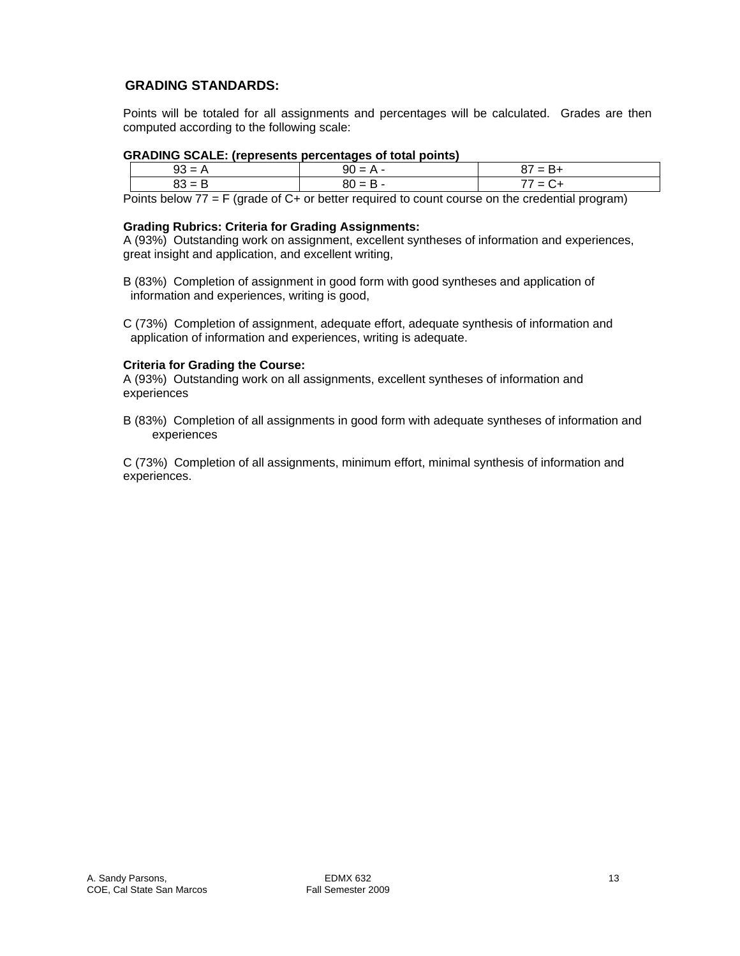# **GRADING STANDARDS:**

Points will be totaled for all assignments and percentages will be calculated. Grades are then computed according to the following scale:

### **GRADING SCALE: (represents percentages of total points)**

| $93 = A$     | $90 = A$        | = B+   |  |  |  |
|--------------|-----------------|--------|--|--|--|
| 83 = B       | $1 = B -$<br>ou | ' = C+ |  |  |  |
| ___ _ _<br>. | .               | .<br>. |  |  |  |

Points below 77 = F (grade of C+ or better required to count course on the credential program)

### **Grading Rubrics: Criteria for Grading Assignments:**

A (93%) Outstanding work on assignment, excellent syntheses of information and experiences, great insight and application, and excellent writing,

B (83%) Completion of assignment in good form with good syntheses and application of information and experiences, writing is good,

C (73%) Completion of assignment, adequate effort, adequate synthesis of information and application of information and experiences, writing is adequate.

### **Criteria for Grading the Course:**

A (93%) Outstanding work on all assignments, excellent syntheses of information and experiences

B (83%) Completion of all assignments in good form with adequate syntheses of information and experiences

C (73%) Completion of all assignments, minimum effort, minimal synthesis of information and experiences.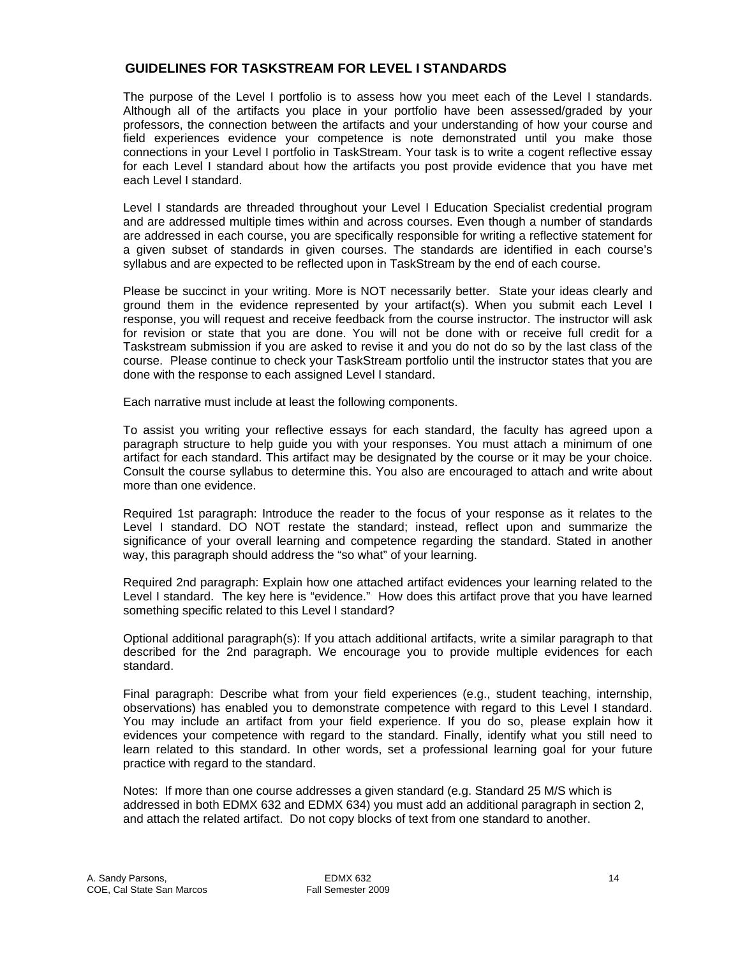# **GUIDELINES FOR TASKSTREAM FOR LEVEL I STANDARDS**

The purpose of the Level I portfolio is to assess how you meet each of the Level I standards. Although all of the artifacts you place in your portfolio have been assessed/graded by your professors, the connection between the artifacts and your understanding of how your course and field experiences evidence your competence is note demonstrated until you make those connections in your Level I portfolio in TaskStream. Your task is to write a cogent reflective essay for each Level I standard about how the artifacts you post provide evidence that you have met each Level I standard.

Level I standards are threaded throughout your Level I Education Specialist credential program and are addressed multiple times within and across courses. Even though a number of standards are addressed in each course, you are specifically responsible for writing a reflective statement for a given subset of standards in given courses. The standards are identified in each course's syllabus and are expected to be reflected upon in TaskStream by the end of each course.

Please be succinct in your writing. More is NOT necessarily better. State your ideas clearly and ground them in the evidence represented by your artifact(s). When you submit each Level I response, you will request and receive feedback from the course instructor. The instructor will ask for revision or state that you are done. You will not be done with or receive full credit for a Taskstream submission if you are asked to revise it and you do not do so by the last class of the course. Please continue to check your TaskStream portfolio until the instructor states that you are done with the response to each assigned Level I standard.

Each narrative must include at least the following components.

To assist you writing your reflective essays for each standard, the faculty has agreed upon a paragraph structure to help guide you with your responses. You must attach a minimum of one artifact for each standard. This artifact may be designated by the course or it may be your choice. Consult the course syllabus to determine this. You also are encouraged to attach and write about more than one evidence.

Required 1st paragraph: Introduce the reader to the focus of your response as it relates to the Level I standard. DO NOT restate the standard; instead, reflect upon and summarize the significance of your overall learning and competence regarding the standard. Stated in another way, this paragraph should address the "so what" of your learning.

Required 2nd paragraph: Explain how one attached artifact evidences your learning related to the Level I standard. The key here is "evidence." How does this artifact prove that you have learned something specific related to this Level I standard?

Optional additional paragraph(s): If you attach additional artifacts, write a similar paragraph to that described for the 2nd paragraph. We encourage you to provide multiple evidences for each standard.

Final paragraph: Describe what from your field experiences (e.g., student teaching, internship, observations) has enabled you to demonstrate competence with regard to this Level I standard. You may include an artifact from your field experience. If you do so, please explain how it evidences your competence with regard to the standard. Finally, identify what you still need to learn related to this standard. In other words, set a professional learning goal for your future practice with regard to the standard.

Notes: If more than one course addresses a given standard (e.g. Standard 25 M/S which is addressed in both EDMX 632 and EDMX 634) you must add an additional paragraph in section 2, and attach the related artifact. Do not copy blocks of text from one standard to another.